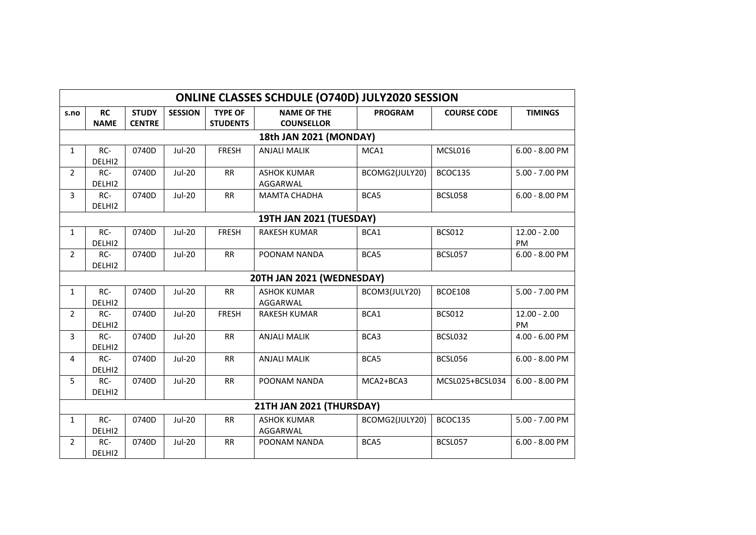| <b>ONLINE CLASSES SCHDULE (O740D) JULY2020 SESSION</b> |                           |                               |                |                                   |                                         |                |                    |                      |  |
|--------------------------------------------------------|---------------------------|-------------------------------|----------------|-----------------------------------|-----------------------------------------|----------------|--------------------|----------------------|--|
| s.no                                                   | <b>RC</b><br><b>NAME</b>  | <b>STUDY</b><br><b>CENTRE</b> | <b>SESSION</b> | <b>TYPE OF</b><br><b>STUDENTS</b> | <b>NAME OF THE</b><br><b>COUNSELLOR</b> | <b>PROGRAM</b> | <b>COURSE CODE</b> | <b>TIMINGS</b>       |  |
| 18th JAN 2021 (MONDAY)                                 |                           |                               |                |                                   |                                         |                |                    |                      |  |
| $\mathbf{1}$                                           | RC-<br>DELHI <sub>2</sub> | 0740D                         | <b>Jul-20</b>  | <b>FRESH</b>                      | <b>ANJALI MALIK</b>                     | MCA1           | MCSL016            | $6.00 - 8.00$ PM     |  |
| $\overline{2}$                                         | RC-<br>DELHI2             | 0740D                         | <b>Jul-20</b>  | <b>RR</b>                         | <b>ASHOK KUMAR</b><br>AGGARWAL          | BCOMG2(JULY20) | BCOC135            | 5.00 - 7.00 PM       |  |
| 3                                                      | RC-<br>DELHI2             | 0740D                         | <b>Jul-20</b>  | <b>RR</b>                         | <b>MAMTA CHADHA</b>                     | BCA5           | BCSL058            | $6.00 - 8.00$ PM     |  |
| 19TH JAN 2021 (TUESDAY)                                |                           |                               |                |                                   |                                         |                |                    |                      |  |
| $\mathbf{1}$                                           | RC-<br>DELHI2             | 0740D                         | Jul-20         | <b>FRESH</b>                      | <b>RAKESH KUMAR</b>                     | BCA1           | <b>BCS012</b>      | $12.00 - 2.00$<br>PM |  |
| $\overline{2}$                                         | $RC-$<br>DELHI2           | 0740D                         | Jul-20         | <b>RR</b>                         | POONAM NANDA                            | BCA5           | BCSL057            | $6.00 - 8.00$ PM     |  |
| 20TH JAN 2021 (WEDNESDAY)                              |                           |                               |                |                                   |                                         |                |                    |                      |  |
| $\mathbf{1}$                                           | RC-<br>DELHI2             | 0740D                         | $Jul-20$       | <b>RR</b>                         | <b>ASHOK KUMAR</b><br>AGGARWAL          | BCOM3(JULY20)  | <b>BCOE108</b>     | 5.00 - 7.00 PM       |  |
| $\overline{2}$                                         | RC-<br>DELHI2             | 0740D                         | <b>Jul-20</b>  | <b>FRESH</b>                      | <b>RAKESH KUMAR</b>                     | BCA1           | <b>BCS012</b>      | $12.00 - 2.00$<br>PM |  |
| 3                                                      | RC-<br>DELHI2             | 0740D                         | <b>Jul-20</b>  | RR                                | <b>ANJALI MALIK</b>                     | BCA3           | BCSL032            | 4.00 - 6.00 PM       |  |
| 4                                                      | RC-<br>DELHI2             | 0740D                         | <b>Jul-20</b>  | RR                                | <b>ANJALI MALIK</b>                     | BCA5           | BCSL056            | $6.00 - 8.00$ PM     |  |
| 5                                                      | RC-<br>DELHI2             | 0740D                         | <b>Jul-20</b>  | RR                                | POONAM NANDA                            | MCA2+BCA3      | MCSL025+BCSL034    | $6.00 - 8.00$ PM     |  |
|                                                        | 21TH JAN 2021 (THURSDAY)  |                               |                |                                   |                                         |                |                    |                      |  |
| $\mathbf{1}$                                           | RC-<br>DELHI2             | 0740D                         | Jul-20         | <b>RR</b>                         | <b>ASHOK KUMAR</b><br>AGGARWAL          | BCOMG2(JULY20) | BCOC135            | 5.00 - 7.00 PM       |  |
| $\overline{2}$                                         | $RC-$<br>DELHI2           | 0740D                         | <b>Jul-20</b>  | <b>RR</b>                         | POONAM NANDA                            | BCA5           | BCSL057            | $6.00 - 8.00$ PM     |  |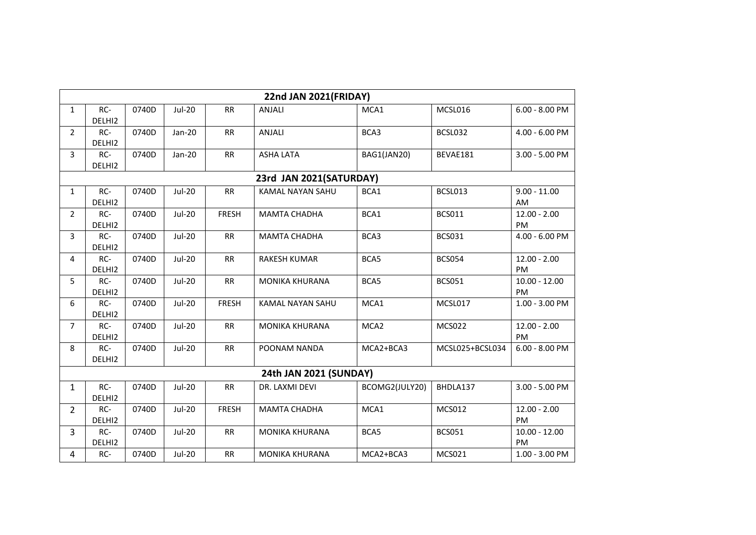| <b>22nd JAN 2021(FRIDAY)</b> |                         |       |               |              |                         |                  |                 |                              |  |  |  |
|------------------------------|-------------------------|-------|---------------|--------------|-------------------------|------------------|-----------------|------------------------------|--|--|--|
| $\mathbf{1}$                 | RC-<br>DELHI2           | 0740D | <b>Jul-20</b> | <b>RR</b>    | ANJALI                  | MCA1             | MCSL016         | $6.00 - 8.00$ PM             |  |  |  |
| $\overline{2}$               | RC-<br>DELHI2           | 0740D | Jan-20        | RR           | ANJALI                  | BCA3             | BCSL032         | 4.00 - 6.00 PM               |  |  |  |
| 3                            | RC-<br>DELHI2           | 0740D | Jan-20        | RR           | <b>ASHA LATA</b>        | BAG1(JAN20)      | BEVAE181        | 3.00 - 5.00 PM               |  |  |  |
|                              | 23rd JAN 2021(SATURDAY) |       |               |              |                         |                  |                 |                              |  |  |  |
| $\mathbf{1}$                 | RC-<br>DELHI2           | 0740D | <b>Jul-20</b> | <b>RR</b>    | <b>KAMAL NAYAN SAHU</b> | BCA1             | BCSL013         | $9.00 - 11.00$<br>AM         |  |  |  |
| $\overline{2}$               | RC-<br>DELHI2           | 0740D | <b>Jul-20</b> | <b>FRESH</b> | <b>MAMTA CHADHA</b>     | BCA1             | <b>BCS011</b>   | $12.00 - 2.00$<br><b>PM</b>  |  |  |  |
| 3                            | RC-<br>DELHI2           | 0740D | <b>Jul-20</b> | RR           | <b>MAMTA CHADHA</b>     | BCA3             | <b>BCS031</b>   | 4.00 - 6.00 PM               |  |  |  |
| 4                            | RC-<br>DELHI2           | 0740D | <b>Jul-20</b> | <b>RR</b>    | RAKESH KUMAR            | BCA5             | <b>BCS054</b>   | $12.00 - 2.00$<br>PM         |  |  |  |
| 5                            | RC-<br>DELHI2           | 0740D | <b>Jul-20</b> | RR           | <b>MONIKA KHURANA</b>   | BCA5             | <b>BCS051</b>   | $10.00 - 12.00$<br><b>PM</b> |  |  |  |
| 6                            | RC-<br>DELHI2           | 0740D | <b>Jul-20</b> | <b>FRESH</b> | KAMAL NAYAN SAHU        | MCA1             | MCSL017         | 1.00 - 3.00 PM               |  |  |  |
| $\overline{7}$               | RC-<br>DELHI2           | 0740D | <b>Jul-20</b> | RR           | <b>MONIKA KHURANA</b>   | MCA <sub>2</sub> | <b>MCS022</b>   | $12.00 - 2.00$<br>PM         |  |  |  |
| 8                            | RC-<br>DELHI2           | 0740D | <b>Jul-20</b> | <b>RR</b>    | POONAM NANDA            | MCA2+BCA3        | MCSL025+BCSL034 | $6.00 - 8.00$ PM             |  |  |  |
|                              | 24th JAN 2021 (SUNDAY)  |       |               |              |                         |                  |                 |                              |  |  |  |
| $\mathbf{1}$                 | RC-<br>DELHI2           | 0740D | <b>Jul-20</b> | RR           | DR. LAXMI DEVI          | BCOMG2(JULY20)   | BHDLA137        | 3.00 - 5.00 PM               |  |  |  |
| $\overline{2}$               | RC-<br>DELHI2           | 0740D | <b>Jul-20</b> | <b>FRESH</b> | <b>MAMTA CHADHA</b>     | MCA1             | MCS012          | $12.00 - 2.00$<br>PM         |  |  |  |
| $\mathsf{3}$                 | RC-<br>DELHI2           | 0740D | <b>Jul-20</b> | RR           | MONIKA KHURANA          | BCA5             | <b>BCS051</b>   | $10.00 - 12.00$<br><b>PM</b> |  |  |  |
| $\overline{4}$               | RC-                     | 0740D | $Jul-20$      | RR           | MONIKA KHURANA          | MCA2+BCA3        | MCS021          | 1.00 - 3.00 PM               |  |  |  |